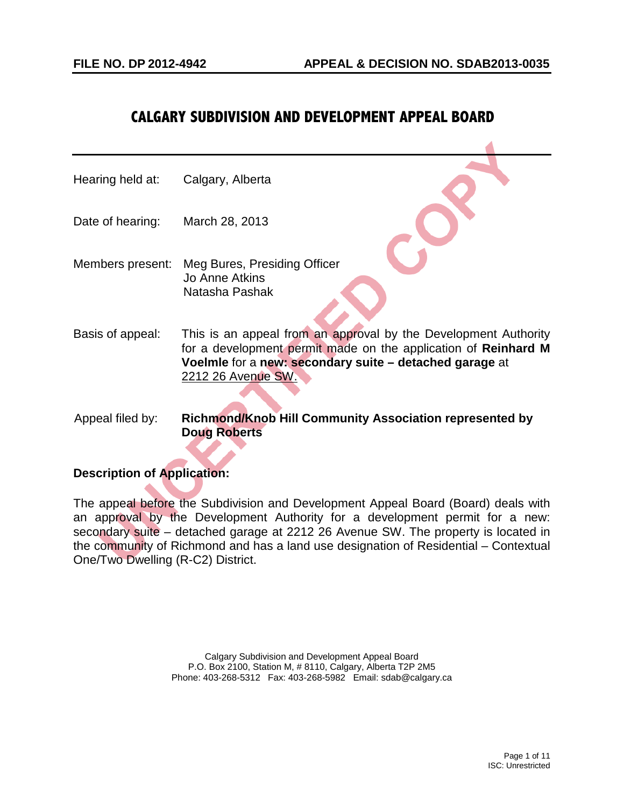# **CALGARY SUBDIVISION AND DEVELOPMENT APPEAL BOARD**

| Hearing held at: | Calgary, Alberta                                                                                                                                                                                                   |
|------------------|--------------------------------------------------------------------------------------------------------------------------------------------------------------------------------------------------------------------|
| Date of hearing: | March 28, 2013                                                                                                                                                                                                     |
| Members present: | Meg Bures, Presiding Officer<br>Jo Anne Atkins<br>Natasha Pashak                                                                                                                                                   |
| Basis of appeal: | This is an appeal from an approval by the Development Authority<br>for a development permit made on the application of Reinhard M<br>Voelmle for a new: secondary suite - detached garage at<br>2212 26 Avenue SW. |
| Appeal filed by: | Richmond/Knob Hill Community Association represented by<br><b>Doug Roberts</b>                                                                                                                                     |

# **Description of Application:**

The appeal before the Subdivision and Development Appeal Board (Board) deals with an approval by the Development Authority for a development permit for a new: secondary suite – detached garage at 2212 26 Avenue SW. The property is located in the community of Richmond and has a land use designation of Residential – Contextual One/Two Dwelling (R-C2) District.

> Calgary Subdivision and Development Appeal Board P.O. Box 2100, Station M, # 8110, Calgary, Alberta T2P 2M5 Phone: 403-268-5312 Fax: 403-268-5982 Email: sdab@calgary.ca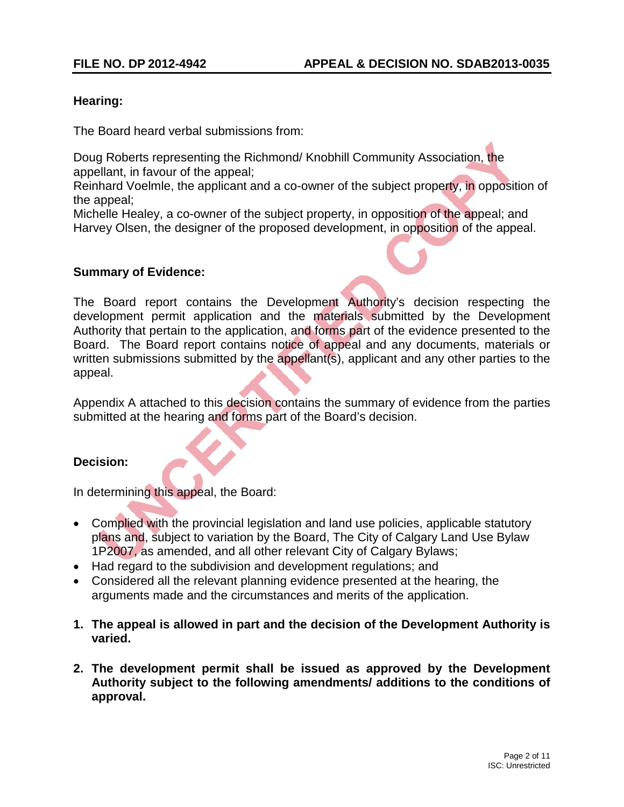# **Hearing:**

The Board heard verbal submissions from:

Doug Roberts representing the Richmond/ Knobhill Community Association, the appellant, in favour of the appeal;

Reinhard Voelmle, the applicant and a co-owner of the subject property, in opposition of the appeal;

Michelle Healey, a co-owner of the subject property, in opposition of the appeal; and Harvey Olsen, the designer of the proposed development, in opposition of the appeal.

## **Summary of Evidence:**

The Board report contains the Development Authority's decision respecting the development permit application and the materials submitted by the Development Authority that pertain to the application, and forms part of the evidence presented to the Board. The Board report contains notice of appeal and any documents, materials or written submissions submitted by the appellant(s), applicant and any other parties to the appeal.

Appendix A attached to this decision contains the summary of evidence from the parties submitted at the hearing and forms part of the Board's decision.

# **Decision:**

In determining this appeal, the Board:

- Complied with the provincial legislation and land use policies, applicable statutory plans and, subject to variation by the Board, The City of Calgary Land Use Bylaw 1P2007, as amended, and all other relevant City of Calgary Bylaws;
- Had regard to the subdivision and development regulations; and
- Considered all the relevant planning evidence presented at the hearing, the arguments made and the circumstances and merits of the application.
- **1. The appeal is allowed in part and the decision of the Development Authority is varied.**
- **2. The development permit shall be issued as approved by the Development Authority subject to the following amendments/ additions to the conditions of approval.**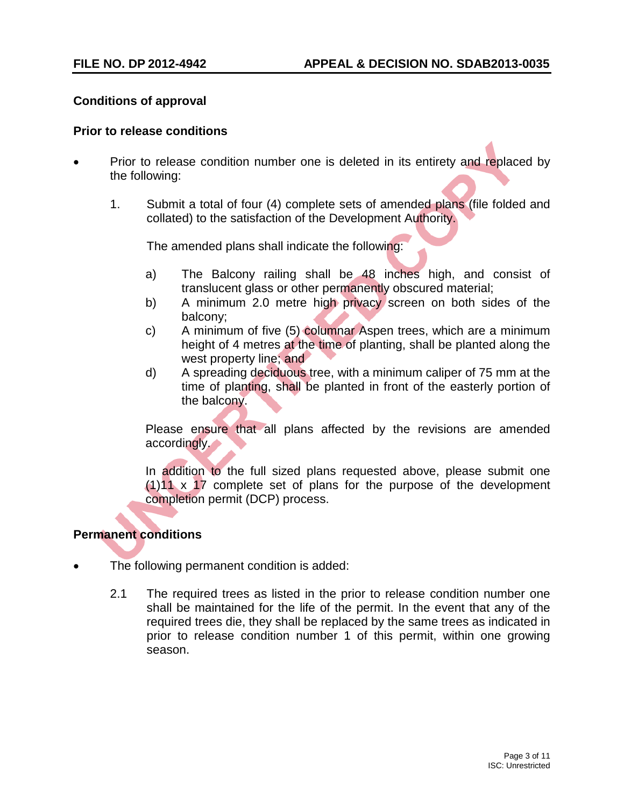# **Conditions of approval**

#### **Prior to release conditions**

- Prior to release condition number one is deleted in its entirety and replaced by the following:
	- 1. Submit a total of four (4) complete sets of amended plans (file folded and collated) to the satisfaction of the Development Authority.

The amended plans shall indicate the following:

- a) The Balcony railing shall be 48 inches high, and consist of translucent glass or other permanently obscured material;
- b) A minimum 2.0 metre high privacy screen on both sides of the balcony;
- c) A minimum of five (5) columnar Aspen trees, which are a minimum height of 4 metres at the time of planting, shall be planted along the west property line; and
- d) A spreading deciduous tree, with a minimum caliper of 75 mm at the time of planting, shall be planted in front of the easterly portion of the balcony.

Please ensure that all plans affected by the revisions are amended accordingly.

In addition to the full sized plans requested above, please submit one  $(1)11 \times 17$  complete set of plans for the purpose of the development completion permit (DCP) process.

# **Permanent conditions**

- The following permanent condition is added:
	- 2.1 The required trees as listed in the prior to release condition number one shall be maintained for the life of the permit. In the event that any of the required trees die, they shall be replaced by the same trees as indicated in prior to release condition number 1 of this permit, within one growing season.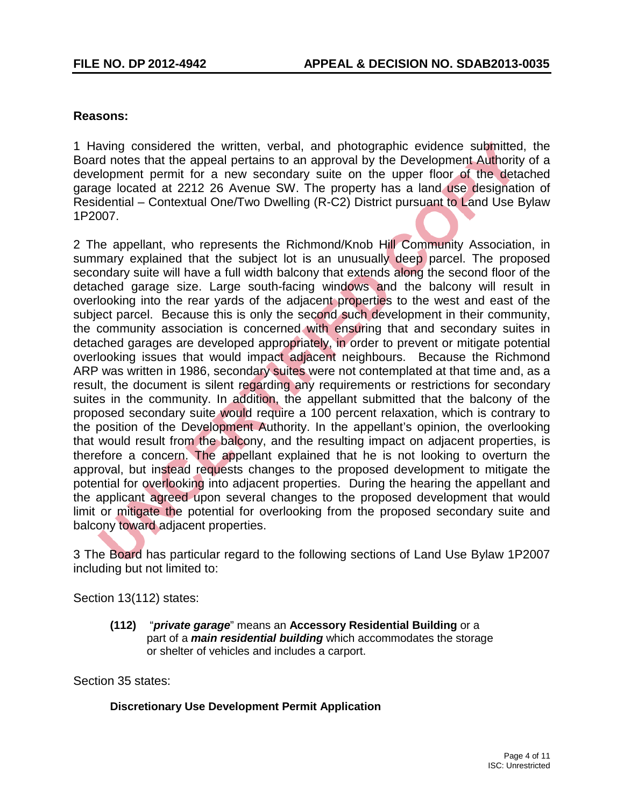# **Reasons:**

1 Having considered the written, verbal, and photographic evidence submitted, the Board notes that the appeal pertains to an approval by the Development Authority of a development permit for a new secondary suite on the upper floor of the detached garage located at 2212 26 Avenue SW. The property has a land use designation of Residential – Contextual One/Two Dwelling (R-C2) District pursuant to Land Use Bylaw 1P2007.

2 The appellant, who represents the Richmond/Knob Hill Community Association, in summary explained that the subject lot is an unusually deep parcel. The proposed secondary suite will have a full width balcony that extends along the second floor of the detached garage size. Large south-facing windows and the balcony will result in overlooking into the rear yards of the adjacent properties to the west and east of the subject parcel. Because this is only the second such development in their community, the community association is concerned with ensuring that and secondary suites in detached garages are developed appropriately, in order to prevent or mitigate potential overlooking issues that would impact adjacent neighbours. Because the Richmond ARP was written in 1986, secondary suites were not contemplated at that time and, as a result, the document is silent regarding any requirements or restrictions for secondary suites in the community. In addition, the appellant submitted that the balcony of the proposed secondary suite would require a 100 percent relaxation, which is contrary to the position of the Development Authority. In the appellant's opinion, the overlooking that would result from the balcony, and the resulting impact on adjacent properties, is therefore a concern. The appellant explained that he is not looking to overturn the approval, but instead requests changes to the proposed development to mitigate the potential for overlooking into adjacent properties. During the hearing the appellant and the applicant agreed upon several changes to the proposed development that would limit or mitigate the potential for overlooking from the proposed secondary suite and balcony toward adjacent properties.

3 The Board has particular regard to the following sections of Land Use Bylaw 1P2007 including but not limited to:

Section 13(112) states:

**(112)** "*private garage*" means an **Accessory Residential Building** or a part of a *main residential building* which accommodates the storage or shelter of vehicles and includes a carport.

Section 35 states:

# **Discretionary Use Development Permit Application**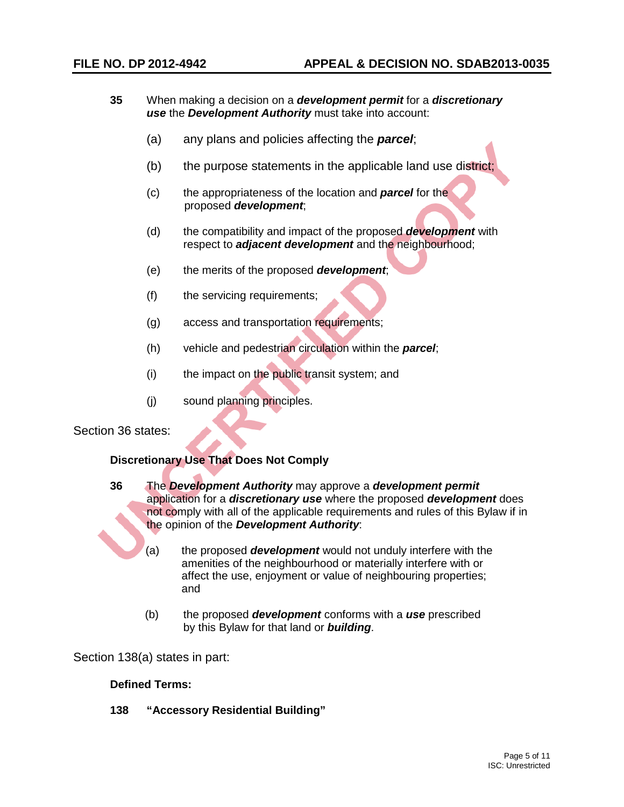- **35** When making a decision on a *development permit* for a *discretionary use* the *Development Authority* must take into account:
	- (a) any plans and policies affecting the *parcel*;
	- (b) the purpose statements in the applicable land use district;
	- (c) the appropriateness of the location and *parcel* for the proposed *development*;
	- (d) the compatibility and impact of the proposed *development* with respect to *adjacent development* and the neighbourhood;
	- (e) the merits of the proposed *development*;
	- (f) the servicing requirements;
	- (g) access and transportation requirements;
	- (h) vehicle and pedestrian circulation within the *parcel*;
	- (i) the impact on the public transit system; and
	- (j) sound planning principles.

Section 36 states:

## **Discretionary Use That Does Not Comply**

**36** The *Development Authority* may approve a *development permit* application for a *discretionary use* where the proposed *development* does not comply with all of the applicable requirements and rules of this Bylaw if in the opinion of the *Development Authority*:

- (a) the proposed *development* would not unduly interfere with the amenities of the neighbourhood or materially interfere with or affect the use, enjoyment or value of neighbouring properties; and
- (b) the proposed *development* conforms with a *use* prescribed by this Bylaw for that land or *building*.

Section 138(a) states in part:

#### **Defined Terms:**

**138 "Accessory Residential Building"**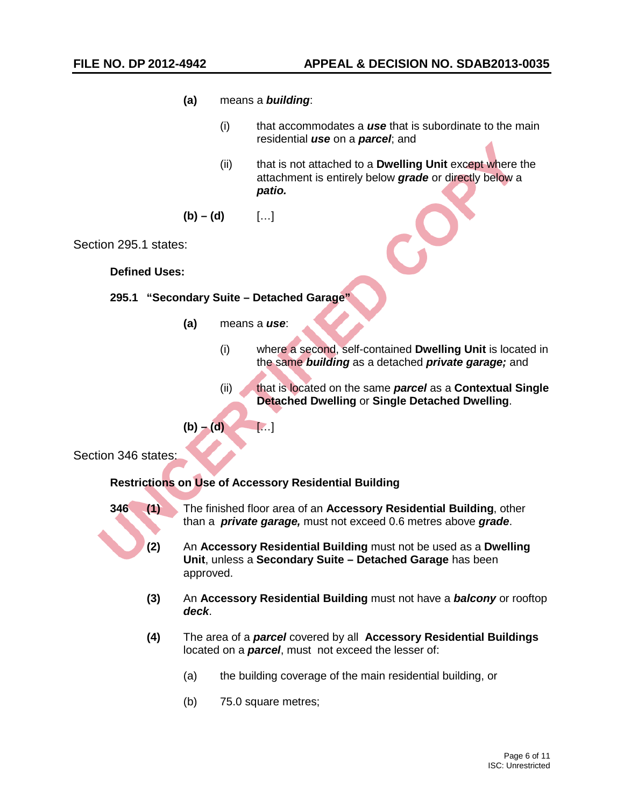- **(a)** means a *building*:
	- (i) that accommodates a *use* that is subordinate to the main residential *use* on a *parcel*; and
	- (ii) that is not attached to a **Dwelling Unit** except where the attachment is entirely below *grade* or directly below a *patio.*

$$
(b) - (d) \qquad [\dots]
$$

Section 295.1 states:

**Defined Uses:** 

#### **295.1 "Secondary Suite – Detached Garage"**

**(a)** means a *use*:

 $$ 

- (i) where a second, self-contained **Dwelling Unit** is located in the same *building* as a detached *private garage;* and
- (ii) that is located on the same *parcel* as a **Contextual Single Detached Dwelling** or **Single Detached Dwelling**.

Section 346 states:

## **Restrictions on Use of Accessory Residential Building**

- **346 (1)** The finished floor area of an **Accessory Residential Building**, other than a *private garage,* must not exceed 0.6 metres above *grade*.
	- **(2)** An **Accessory Residential Building** must not be used as a **Dwelling Unit**, unless a **Secondary Suite – Detached Garage** has been approved.
	- **(3)** An **Accessory Residential Building** must not have a *balcony* or rooftop *deck*.
	- **(4)** The area of a *parcel* covered by all **Accessory Residential Buildings** located on a *parcel*, must not exceed the lesser of:
		- (a) the building coverage of the main residential building, or
		- (b) 75.0 square metres;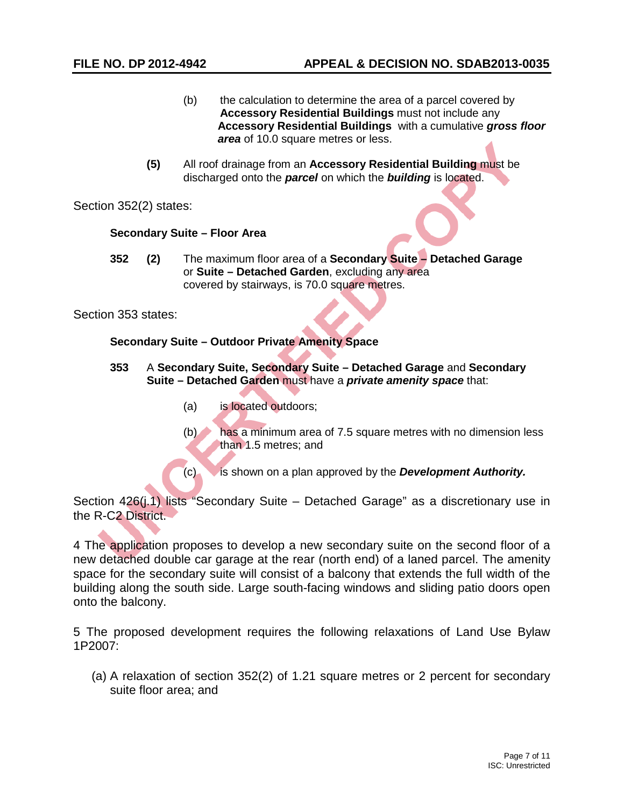- (b) the calculation to determine the area of a parcel covered by **Accessory Residential Buildings** must not include any **Accessory Residential Buildings** with a cumulative *gross floor area* of 10.0 square metres or less.
- **(5)** All roof drainage from an **Accessory Residential Building** must be discharged onto the *parcel* on which the *building* is located.

Section 352(2) states:

#### **Secondary Suite – Floor Area**

**352 (2)** The maximum floor area of a **Secondary Suite – Detached Garage** or **Suite – Detached Garden**, excluding any area covered by stairways, is 70.0 square metres.

Section 353 states:

#### **Secondary Suite – Outdoor Private Amenity Space**

- **353** A **Secondary Suite, Secondary Suite – Detached Garage** and **Secondary Suite – Detached Garden** must have a *private amenity space* that:
	- (a) is located outdoors;
	- (b) has a minimum area of 7.5 square metres with no dimension less than 1.5 metres; and

(c) is shown on a plan approved by the *Development Authority.*

Section 426(*i.1*) lists "Secondary Suite – Detached Garage" as a discretionary use in the R-C2 District.

4 The application proposes to develop a new secondary suite on the second floor of a new detached double car garage at the rear (north end) of a laned parcel. The amenity space for the secondary suite will consist of a balcony that extends the full width of the building along the south side. Large south-facing windows and sliding patio doors open onto the balcony.

5 The proposed development requires the following relaxations of Land Use Bylaw 1P2007:

(a) A relaxation of section 352(2) of 1.21 square metres or 2 percent for secondary suite floor area; and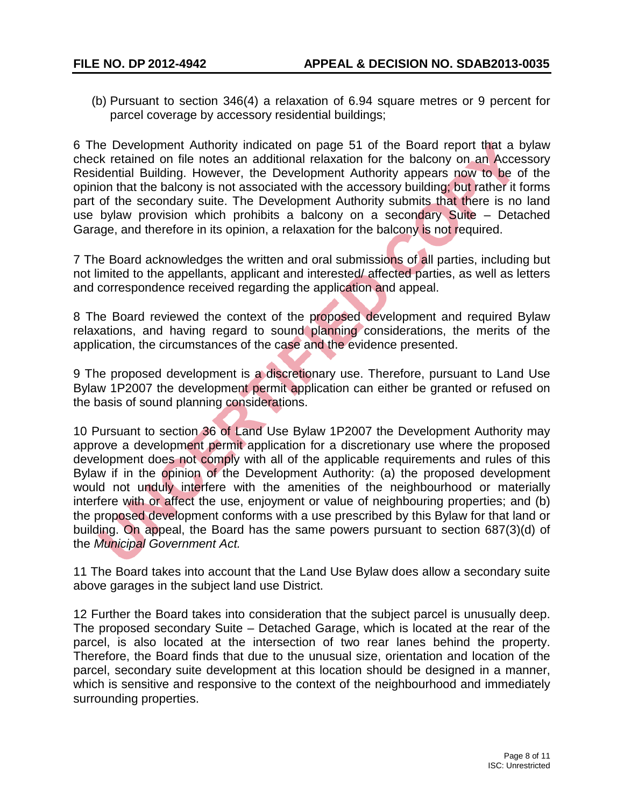(b) Pursuant to section 346(4) a relaxation of 6.94 square metres or 9 percent for parcel coverage by accessory residential buildings;

6 The Development Authority indicated on page 51 of the Board report that a bylaw check retained on file notes an additional relaxation for the balcony on an Accessory Residential Building. However, the Development Authority appears now to be of the opinion that the balcony is not associated with the accessory building; but rather it forms part of the secondary suite. The Development Authority submits that there is no land use bylaw provision which prohibits a balcony on a secondary Suite – Detached Garage, and therefore in its opinion, a relaxation for the balcony is not required.

7 The Board acknowledges the written and oral submissions of all parties, including but not limited to the appellants, applicant and interested/ affected parties, as well as letters and correspondence received regarding the application and appeal.

8 The Board reviewed the context of the proposed development and required Bylaw relaxations, and having regard to sound planning considerations, the merits of the application, the circumstances of the case and the evidence presented.

9 The proposed development is a discretionary use. Therefore, pursuant to Land Use Bylaw 1P2007 the development permit application can either be granted or refused on the basis of sound planning considerations.

10 Pursuant to section 36 of Land Use Bylaw 1P2007 the Development Authority may approve a development permit application for a discretionary use where the proposed development does not comply with all of the applicable requirements and rules of this Bylaw if in the opinion of the Development Authority: (a) the proposed development would not unduly interfere with the amenities of the neighbourhood or materially interfere with or affect the use, enjoyment or value of neighbouring properties; and (b) the proposed development conforms with a use prescribed by this Bylaw for that land or building. On appeal, the Board has the same powers pursuant to section 687(3)(d) of the *Municipal Government Act.*

11 The Board takes into account that the Land Use Bylaw does allow a secondary suite above garages in the subject land use District.

12 Further the Board takes into consideration that the subject parcel is unusually deep. The proposed secondary Suite – Detached Garage, which is located at the rear of the parcel, is also located at the intersection of two rear lanes behind the property. Therefore, the Board finds that due to the unusual size, orientation and location of the parcel, secondary suite development at this location should be designed in a manner, which is sensitive and responsive to the context of the neighbourhood and immediately surrounding properties.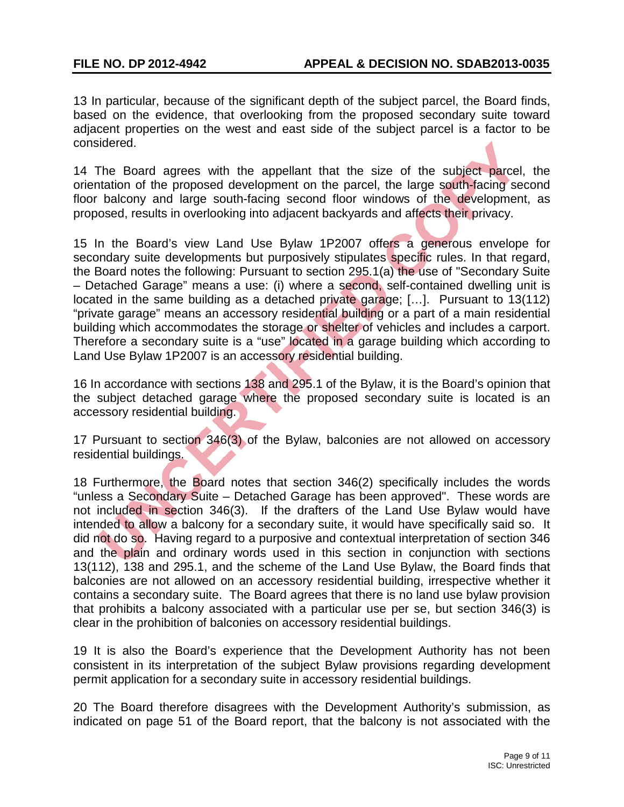13 In particular, because of the significant depth of the subject parcel, the Board finds, based on the evidence, that overlooking from the proposed secondary suite toward adjacent properties on the west and east side of the subject parcel is a factor to be considered.

14 The Board agrees with the appellant that the size of the subject parcel, the orientation of the proposed development on the parcel, the large south-facing second floor balcony and large south-facing second floor windows of the development, as proposed, results in overlooking into adjacent backyards and affects their privacy.

15 In the Board's view Land Use Bylaw 1P2007 offers a generous envelope for secondary suite developments but purposively stipulates specific rules. In that regard, the Board notes the following: Pursuant to section 295.1(a) the use of "Secondary Suite – Detached Garage" means a use: (i) where a second, self-contained dwelling unit is located in the same building as a detached private garage; [...]. Pursuant to 13(112) "private garage" means an accessory residential building or a part of a main residential building which accommodates the storage or shelter of vehicles and includes a carport. Therefore a secondary suite is a "use" located in a garage building which according to Land Use Bylaw 1P2007 is an accessory residential building.

16 In accordance with sections 138 and 295.1 of the Bylaw, it is the Board's opinion that the subject detached garage where the proposed secondary suite is located is an accessory residential building.

17 Pursuant to section 346(3) of the Bylaw, balconies are not allowed on accessory residential buildings.

18 Furthermore, the Board notes that section 346(2) specifically includes the words "unless a Secondary Suite – Detached Garage has been approved". These words are not included in section 346(3). If the drafters of the Land Use Bylaw would have intended to allow a balcony for a secondary suite, it would have specifically said so. It did not do so. Having regard to a purposive and contextual interpretation of section 346 and the plain and ordinary words used in this section in conjunction with sections 13(112), 138 and 295.1, and the scheme of the Land Use Bylaw, the Board finds that balconies are not allowed on an accessory residential building, irrespective whether it contains a secondary suite. The Board agrees that there is no land use bylaw provision that prohibits a balcony associated with a particular use per se, but section 346(3) is clear in the prohibition of balconies on accessory residential buildings.

19 It is also the Board's experience that the Development Authority has not been consistent in its interpretation of the subject Bylaw provisions regarding development permit application for a secondary suite in accessory residential buildings.

20 The Board therefore disagrees with the Development Authority's submission, as indicated on page 51 of the Board report, that the balcony is not associated with the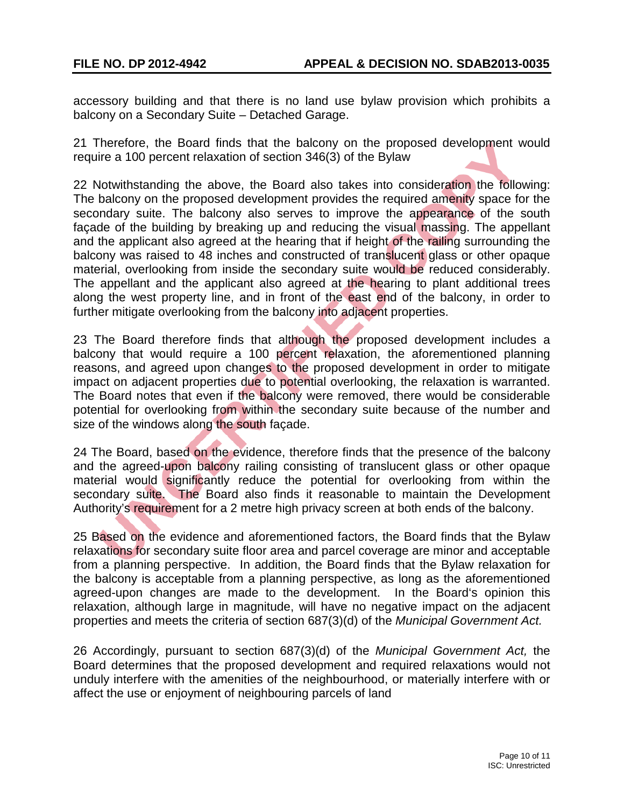accessory building and that there is no land use bylaw provision which prohibits a balcony on a Secondary Suite – Detached Garage.

21 Therefore, the Board finds that the balcony on the proposed development would require a 100 percent relaxation of section 346(3) of the Bylaw

22 Notwithstanding the above, the Board also takes into consideration the following: The balcony on the proposed development provides the required amenity space for the secondary suite. The balcony also serves to improve the appearance of the south façade of the building by breaking up and reducing the visual massing. The appellant and the applicant also agreed at the hearing that if height of the railing surrounding the balcony was raised to 48 inches and constructed of translucent glass or other opaque material, overlooking from inside the secondary suite would be reduced considerably. The appellant and the applicant also agreed at the hearing to plant additional trees along the west property line, and in front of the east end of the balcony, in order to further mitigate overlooking from the balcony into adjacent properties.

23 The Board therefore finds that although the proposed development includes a balcony that would require a 100 percent relaxation, the aforementioned planning reasons, and agreed upon changes to the proposed development in order to mitigate impact on adjacent properties due to potential overlooking, the relaxation is warranted. The Board notes that even if the balcony were removed, there would be considerable potential for overlooking from within the secondary suite because of the number and size of the windows along the south façade.

24 The Board, based on the evidence, therefore finds that the presence of the balcony and the agreed-upon balcony railing consisting of translucent glass or other opaque material would significantly reduce the potential for overlooking from within the secondary suite. The Board also finds it reasonable to maintain the Development Authority's requirement for a 2 metre high privacy screen at both ends of the balcony.

25 Based on the evidence and aforementioned factors, the Board finds that the Bylaw relaxations for secondary suite floor area and parcel coverage are minor and acceptable from a planning perspective. In addition, the Board finds that the Bylaw relaxation for the balcony is acceptable from a planning perspective, as long as the aforementioned agreed-upon changes are made to the development. In the Board's opinion this relaxation, although large in magnitude, will have no negative impact on the adjacent properties and meets the criteria of section 687(3)(d) of the *Municipal Government Act.*

26 Accordingly, pursuant to section 687(3)(d) of the *Municipal Government Act,* the Board determines that the proposed development and required relaxations would not unduly interfere with the amenities of the neighbourhood, or materially interfere with or affect the use or enjoyment of neighbouring parcels of land